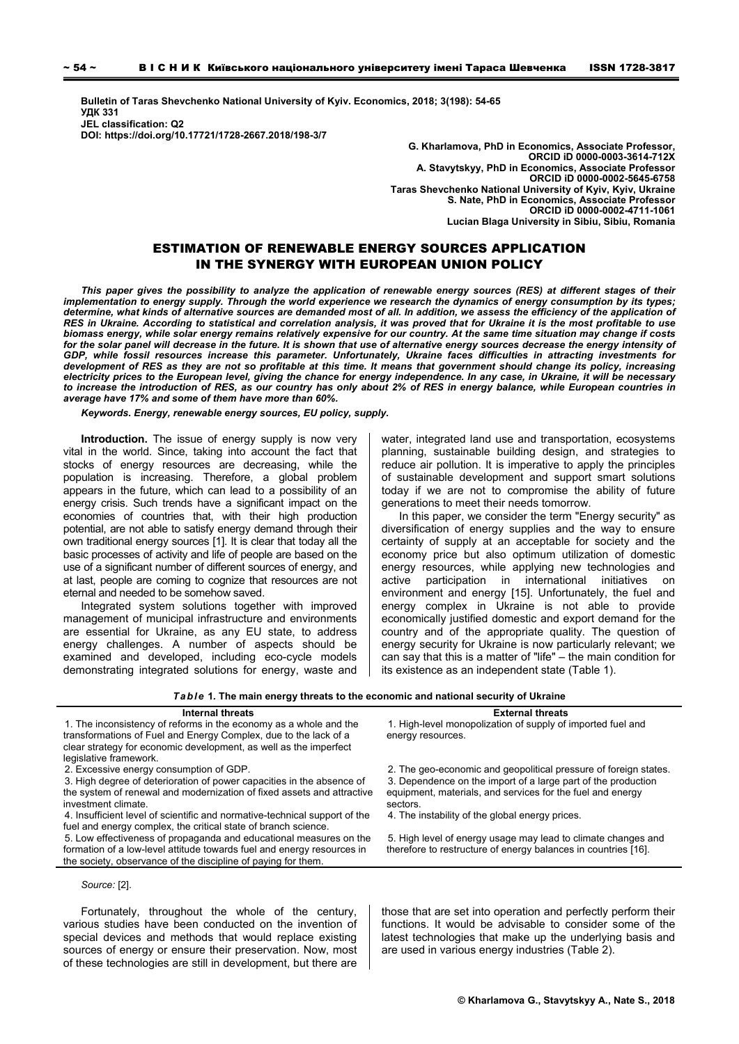**Bulletin of Taras Shevchenko National University of Kyiv. Economics, 2018; 3(198): 54-65 УДК 331 JEL classification: Q2 DOI: https://doi.org/10.17721/1728-2667.2018/198-3/7** 

**G. Kharlamova, PhD in Economics, Associate Professor, ORCID iD 0000-0003-3614-712X А. Stavytskуy, PhD in Economics, Associate Professor ORCID iD 0000-0002-5645-6758 Taras Shevchenko National University of Kyiv, Kyiv, Ukraine S. Nate, PhD in Economics, Associate Professor ORCID iD 0000-0002-4711-1061 Lucian Blaga University in Sibiu, Sibiu, Romania** 

# ESTIMATION OF RENEWABLE ENERGY SOURCES APPLICATION IN THE SYNERGY WITH EUROPEAN UNION POLICY

*This paper gives the possibility to analyze the application of renewable energy sources (RES) at different stages of their implementation to energy supply. Through the world experience we research the dynamics of energy consumption by its types;*  determine, what kinds of alternative sources are demanded most of all. In addition, we assess the efficiency of the application of *RES in Ukraine. According to statistical and correlation analysis, it was proved that for Ukraine it is the most profitable to use biomass energy, while solar energy remains relatively expensive for our country. At the same time situation may change if costs* for the solar panel will decrease in the future. It is shown that use of alternative energy sources decrease the energy intensity of *GDP, while fossil resources increase this parameter. Unfortunately, Ukraine faces difficulties in attracting investments for development of RES as they are not so profitable at this time. It means that government should change its policy, increasing electricity prices to the European level, giving the chance for energy independence. In any case, in Ukraine, it will be necessary to increase the introduction of RES, as our country has only about 2% of RES in energy balance, while European countries in average have 17% and some of them have more than 60%.* 

*Keywords. Energy, renewable energy sources, EU policy, supply.* 

**Introduction.** The issue of energy supply is now very vital in the world. Since, taking into account the fact that stocks of energy resources are decreasing, while the population is increasing. Therefore, a global problem appears in the future, which can lead to a possibility of an energy crisis. Such trends have a significant impact on the economies of countries that, with their high production potential, are not able to satisfy energy demand through their own traditional energy sources [1]. It is clear that today all the basic processes of activity and life of people are based on the use of a significant number of different sources of energy, and at last, people are coming to cognize that resources are not eternal and needed to be somehow saved.

Integrated system solutions together with improved management of municipal infrastructure and environments are essential for Ukraine, as any EU state, to address energy challenges. A number of aspects should be examined and developed, including eco-cycle models demonstrating integrated solutions for energy, waste and

water, integrated land use and transportation, ecosystems planning, sustainable building design, and strategies to reduce air pollution. It is imperative to apply the principles of sustainable development and support smart solutions today if we are not to compromise the ability of future generations to meet their needs tomorrow.

In this paper, we consider the term "Energy security" as diversification of energy supplies and the way to ensure certainty of supply at an acceptable for society and the economy price but also optimum utilization of domestic energy resources, while applying new technologies and active participation in international initiatives on environment and energy [15]. Unfortunately, the fuel and energy complex in Ukraine is not able to provide economically justified domestic and export demand for the country and of the appropriate quality. The question of energy security for Ukraine is now particularly relevant; we can say that this is a matter of "life" – the main condition for its existence as an independent state (Table 1).

*Table* **1***.* **The main energy threats to the economic and national security of Ukraine**

# **Internal threats External threats**

1. The inconsistency of reforms in the economy as a whole and the transformations of Fuel and Energy Complex, due to the lack of a clear strategy for economic development, as well as the imperfect legislative framework.<br>2. Excessive energy consumption of GDP.

3. High degree of deterioration of power capacities in the absence of the system of renewal and modernization of fixed assets and attractive investment climate.

4. Insufficient level of scientific and normative-technical support of the fuel and energy complex, the critical state of branch science.

5. Low effectiveness of propaganda and educational measures on the formation of a low-level attitude towards fuel and energy resources in the society, observance of the discipline of paying for them.

*Source:* [2].

Fortunately, throughout the whole of the century, various studies have been conducted on the invention of special devices and methods that would replace existing sources of energy or ensure their preservation. Now, most of these technologies are still in development, but there are

1. High-level monopolization of supply of imported fuel and energy resources.

2. The geo-economic and geopolitical pressure of foreign states. 3. Dependence on the import of a large part of the production equipment, materials, and services for the fuel and energy sectors.

4. The instability of the global energy prices.

5. High level of energy usage may lead to climate changes and therefore to restructure of energy balances in countries [16].

those that are set into operation and perfectly perform their functions. It would be advisable to consider some of the latest technologies that make up the underlying basis and are used in various energy industries (Table 2).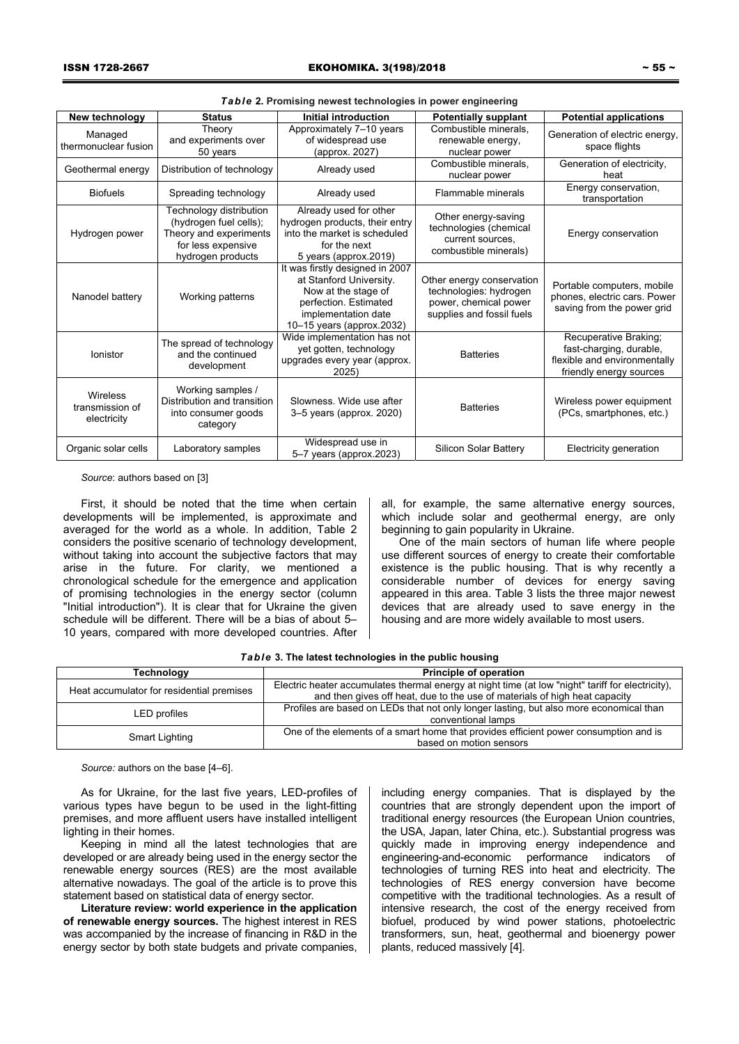| Table 2. Promising newest technologies in power engineering |                                                                                                                        |                                                                                                                                                                |                                                                                                           |                                                                                                             |
|-------------------------------------------------------------|------------------------------------------------------------------------------------------------------------------------|----------------------------------------------------------------------------------------------------------------------------------------------------------------|-----------------------------------------------------------------------------------------------------------|-------------------------------------------------------------------------------------------------------------|
| New technology                                              | <b>Status</b>                                                                                                          | <b>Initial introduction</b>                                                                                                                                    | <b>Potentially supplant</b>                                                                               | <b>Potential applications</b>                                                                               |
| Managed<br>thermonuclear fusion                             | Theory<br>and experiments over<br>50 years                                                                             | Approximately 7-10 years<br>of widespread use<br>(approx. 2027)                                                                                                | Combustible minerals.<br>renewable energy,<br>nuclear power                                               | Generation of electric energy,<br>space flights                                                             |
| Geothermal energy                                           | Distribution of technology                                                                                             | Already used                                                                                                                                                   | Combustible minerals.<br>nuclear power                                                                    | Generation of electricity,<br>heat                                                                          |
| <b>Biofuels</b>                                             | Spreading technology                                                                                                   | Already used                                                                                                                                                   | Flammable minerals                                                                                        | Energy conservation,<br>transportation                                                                      |
| Hydrogen power                                              | Technology distribution<br>(hydrogen fuel cells);<br>Theory and experiments<br>for less expensive<br>hydrogen products | Already used for other<br>hydrogen products, their entry<br>into the market is scheduled<br>for the next<br>5 years (approx.2019)                              | Other energy-saving<br>technologies (chemical<br>current sources,<br>combustible minerals)                | Energy conservation                                                                                         |
| Nanodel battery                                             | Working patterns                                                                                                       | It was firstly designed in 2007<br>at Stanford University.<br>Now at the stage of<br>perfection. Estimated<br>implementation date<br>10-15 years (approx.2032) | Other energy conservation<br>technologies: hydrogen<br>power, chemical power<br>supplies and fossil fuels | Portable computers, mobile<br>phones, electric cars. Power<br>saving from the power grid                    |
| lonistor                                                    | The spread of technology<br>and the continued<br>development                                                           | Wide implementation has not<br>yet gotten, technology<br>upgrades every year (approx.<br>2025)                                                                 | <b>Batteries</b>                                                                                          | Recuperative Braking;<br>fast-charging, durable,<br>flexible and environmentally<br>friendly energy sources |
| Wireless<br>transmission of<br>electricity                  | Working samples /<br>Distribution and transition<br>into consumer goods<br>category                                    | Slowness. Wide use after<br>3-5 years (approx. 2020)                                                                                                           | <b>Batteries</b>                                                                                          | Wireless power equipment<br>(PCs, smartphones, etc.)                                                        |
| Organic solar cells                                         | Laboratory samples                                                                                                     | Widespread use in<br>5-7 years (approx.2023)                                                                                                                   | Silicon Solar Battery                                                                                     | Electricity generation                                                                                      |

*Source*: authors based on [3]

First, it should be noted that the time when certain developments will be implemented, is approximate and averaged for the world as a whole. In addition, Table 2 considers the positive scenario of technology development, without taking into account the subjective factors that may arise in the future. For clarity, we mentioned a chronological schedule for the emergence and application of promising technologies in the energy sector (column "Initial introduction"). It is clear that for Ukraine the given schedule will be different. There will be a bias of about 5– 10 years, compared with more developed countries. After all, for example, the same alternative energy sources, which include solar and geothermal energy, are only beginning to gain popularity in Ukraine.

One of the main sectors of human life where people use different sources of energy to create their comfortable existence is the public housing. That is why recently a considerable number of devices for energy saving appeared in this area. Table 3 lists the three major newest devices that are already used to save energy in the housing and are more widely available to most users.

| Table 3. The latest technologies in the public housing |  |
|--------------------------------------------------------|--|
|--------------------------------------------------------|--|

| <b>Technology</b>                         | Principle of operation                                                                            |  |  |
|-------------------------------------------|---------------------------------------------------------------------------------------------------|--|--|
| Heat accumulator for residential premises | Electric heater accumulates thermal energy at night time (at low "night" tariff for electricity), |  |  |
|                                           | and then gives off heat, due to the use of materials of high heat capacity                        |  |  |
| LED profiles                              | Profiles are based on LEDs that not only longer lasting, but also more economical than            |  |  |
|                                           | conventional lamps                                                                                |  |  |
|                                           | One of the elements of a smart home that provides efficient power consumption and is              |  |  |
| Smart Lighting                            | based on motion sensors                                                                           |  |  |

*Source:* authors on the base [4–6].

As for Ukraine, for the last five years, LED-profiles of various types have begun to be used in the light-fitting premises, and more affluent users have installed intelligent lighting in their homes.

Keeping in mind all the latest technologies that are developed or are already being used in the energy sector the renewable energy sources (RES) are the most available alternative nowadays. The goal of the article is to prove this statement based on statistical data of energy sector.

**Literature review: world experience in the application of renewable energy sources.** The highest interest in RES was accompanied by the increase of financing in R&D in the energy sector by both state budgets and private companies,

including energy companies. That is displayed by the countries that are strongly dependent upon the import of traditional energy resources (the European Union countries, the USA, Japan, later China, etc.). Substantial progress was quickly made in improving energy independence and engineering-and-economic performance indicators of technologies of turning RES into heat and electricity. The technologies of RES energy conversion have become competitive with the traditional technologies. As a result of intensive research, the cost of the energy received from biofuel, produced by wind power stations, photoelectric transformers, sun, heat, geothermal and bioenergy power plants, reduced massively [4].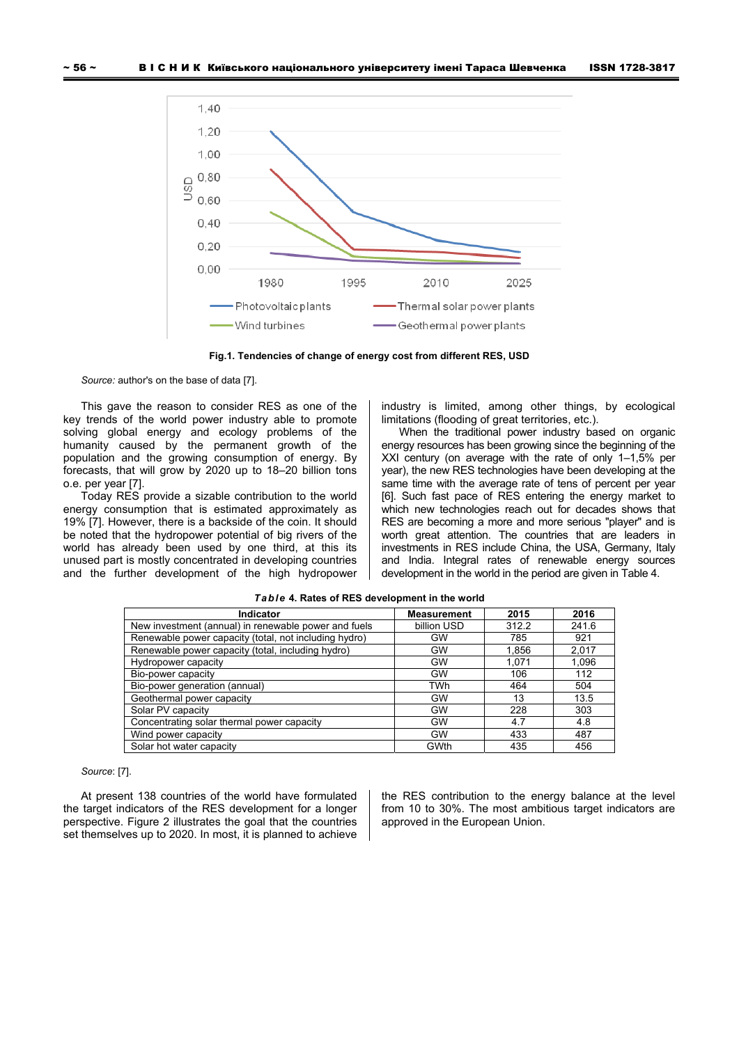

**Fig.1. Tendencies of change of energy cost from different RES, USD** 

*Source:* author's on the base of data [7].

This gave the reason to consider RES as one of the key trends of the world power industry able to promote solving global energy and ecology problems of the humanity caused by the permanent growth of the population and the growing consumption of energy. By forecasts, that will grow by 2020 up to 18–20 billion tons o.e. per year [7].

Today RES provide a sizable contribution to the world energy consumption that is estimated approximately as 19% [7]. However, there is a backside of the coin. It should be noted that the hydropower potential of big rivers of the world has already been used by one third, at this its unused part is mostly concentrated in developing countries and the further development of the high hydropower industry is limited, among other things, by ecological limitations (flooding of great territories, etc.).

When the traditional power industry based on organic energy resources has been growing since the beginning of the XXI century (on average with the rate of only 1–1,5% per year), the new RES technologies have been developing at the same time with the average rate of tens of percent per year [6]. Such fast pace of RES entering the energy market to which new technologies reach out for decades shows that RES are becoming a more and more serious "player" and is worth great attention. The countries that are leaders in investments in RES include China, the USA, Germany, Italy and India. Integral rates of renewable energy sources development in the world in the period are given in Table 4.

| <b>Indicator</b>                                      | <b>Measurement</b> | 2015  | 2016  |
|-------------------------------------------------------|--------------------|-------|-------|
| New investment (annual) in renewable power and fuels  | billion USD        | 312.2 | 241.6 |
| Renewable power capacity (total, not including hydro) | <b>GW</b>          | 785   | 921   |
| Renewable power capacity (total, including hydro)     | <b>GW</b>          | 1,856 | 2,017 |
| Hydropower capacity                                   | <b>GW</b>          | 1.071 | 1,096 |
| Bio-power capacity                                    | <b>GW</b>          | 106   | 112   |
| Bio-power generation (annual)                         | TWh                | 464   | 504   |
| Geothermal power capacity                             | GW                 | 13    | 13.5  |
| Solar PV capacity                                     | GW                 | 228   | 303   |
| Concentrating solar thermal power capacity            | GW                 | 4.7   | 4.8   |
| Wind power capacity                                   | <b>GW</b>          | 433   | 487   |
| Solar hot water capacity                              | GWth               | 435   | 456   |

#### *Table* **4. Rates of RES development in the world**

#### *Source*: [7].

At present 138 countries of the world have formulated the target indicators of the RES development for a longer perspective. Figure 2 illustrates the goal that the countries set themselves up to 2020. In most, it is planned to achieve

the RES contribution to the energy balance at the level from 10 to 30%. The most ambitious target indicators are approved in the European Union.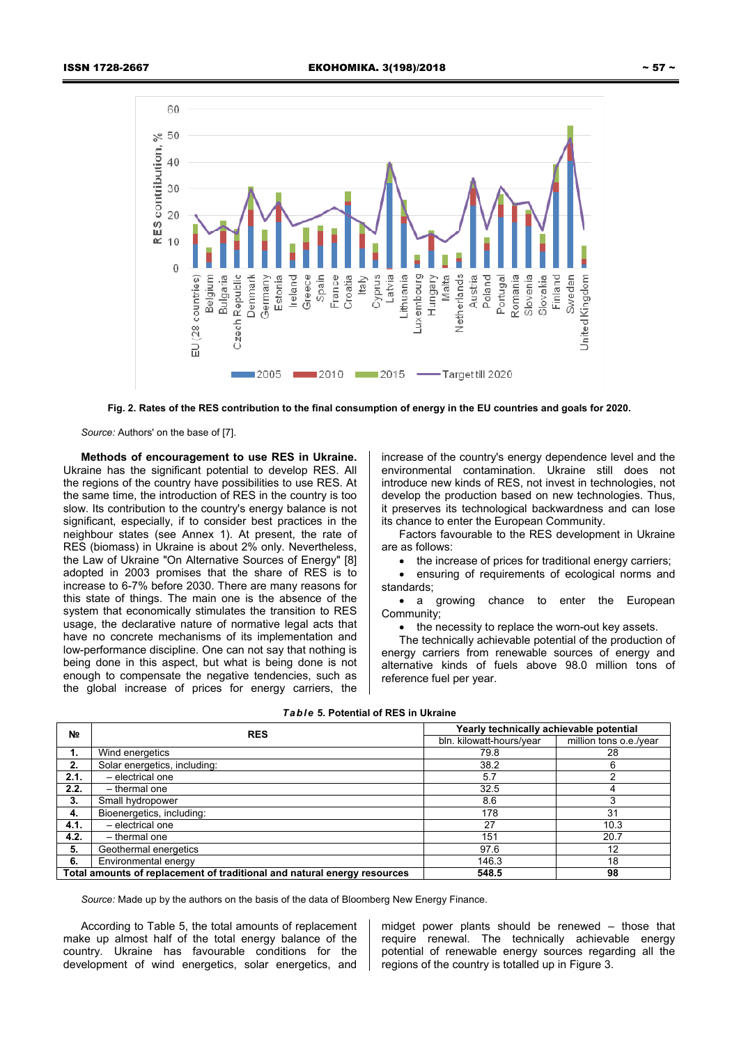

**Fig. 2. Rates of the RES contribution to the final consumption of energy in the EU countries and goals for 2020.** 

*Source:* Authors' on the base of [7].

**Methods of encouragement to use RES in Ukraine.**  Ukraine has the significant potential to develop RES. All the regions of the country have possibilities to use RES. At the same time, the introduction of RES in the country is too slow. Its contribution to the country's energy balance is not significant, especially, if to consider best practices in the neighbour states (see Annex 1). At present, the rate of RES (biomass) in Ukraine is about 2% only. Nevertheless, the Law of Ukraine "On Alternative Sources of Energy" [8] adopted in 2003 promises that the share of RES is to increase to 6-7% before 2030. There are many reasons for this state of things. The main one is the absence of the system that economically stimulates the transition to RES usage, the declarative nature of normative legal acts that have no concrete mechanisms of its implementation and low-performance discipline. One can not say that nothing is being done in this aspect, but what is being done is not enough to compensate the negative tendencies, such as the global increase of prices for energy carriers, the

increase of the country's energy dependence level and the environmental contamination. Ukraine still does not introduce new kinds of RES, not invest in technologies, not develop the production based on new technologies. Thus, it preserves its technological backwardness and can lose its chance to enter the European Community.

Factors favourable to the RES development in Ukraine are as follows:

• the increase of prices for traditional energy carriers:

 ensuring of requirements of ecological norms and standards;

• a growing chance to enter the European Community;

• the necessity to replace the worn-out key assets.

The technically achievable potential of the production of energy carriers from renewable sources of energy and alternative kinds of fuels above 98.0 million tons of reference fuel per year.

## *Table* **5. Potential of RES in Ukraine**

| N <sub>2</sub> | <b>RES</b>                                                               | Yearly technically achievable potential |                        |  |
|----------------|--------------------------------------------------------------------------|-----------------------------------------|------------------------|--|
|                |                                                                          | bln. kilowatt-hours/year                | million tons o.e./year |  |
| 1.             | Wind energetics                                                          | 79.8                                    | 28                     |  |
| 2.             | Solar energetics, including:                                             | 38.2                                    | 6                      |  |
| 2.1.           | - electrical one                                                         | 5.7                                     |                        |  |
| 2.2.           | - thermal one                                                            | 32.5                                    |                        |  |
| 3.             | Small hydropower                                                         | 8.6                                     |                        |  |
| 4.             | Bioenergetics, including:                                                | 178                                     | 31                     |  |
| 4.1.           | - electrical one                                                         | 27                                      | 10.3                   |  |
| 4.2.           | - thermal one                                                            | 151                                     | 20.7                   |  |
| 5.             | Geothermal energetics                                                    | 97.6                                    | 12                     |  |
| 6.             | Environmental energy                                                     | 146.3                                   | 18                     |  |
|                | Total amounts of replacement of traditional and natural energy resources | 548.5                                   | 98                     |  |

*Source:* Made up by the authors on the basis of the data of Bloomberg New Energy Finance.

According to Table 5, the total amounts of replacement make up almost half of the total energy balance of the country. Ukraine has favourable conditions for the development of wind energetics, solar energetics, and

midget power plants should be renewed – those that require renewal. The technically achievable energy potential of renewable energy sources regarding all the regions of the country is totalled up in Figure 3.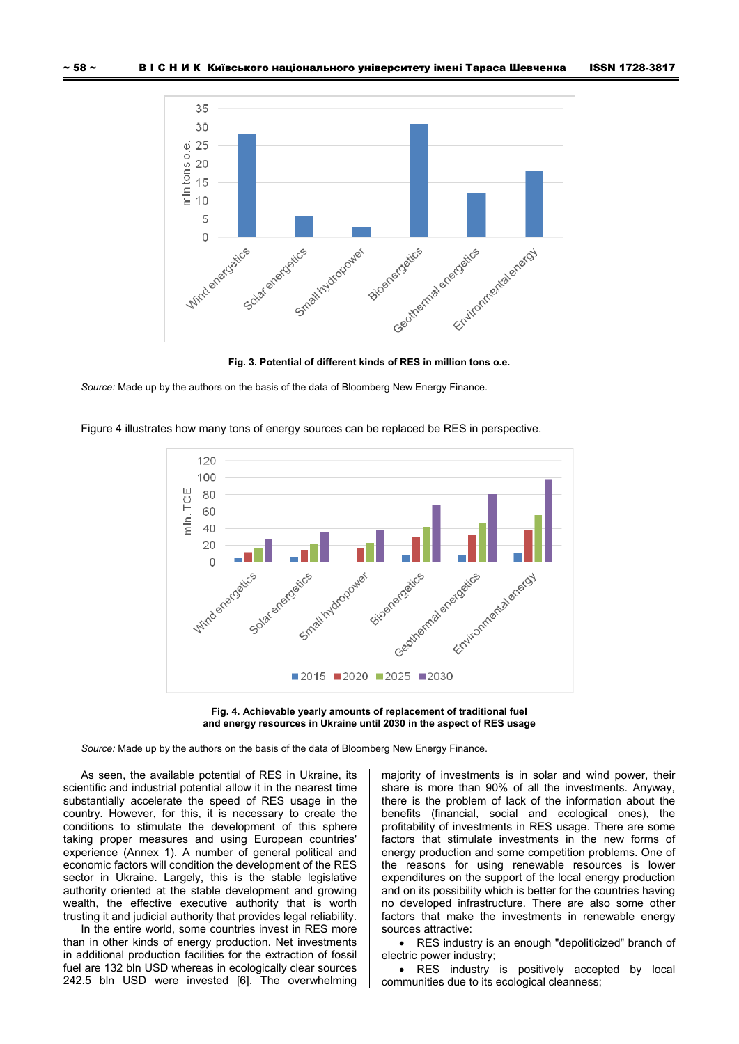

**Fig. 3. Potential of different kinds of RES in million tons o.e.** 

*Source:* Made up by the authors on the basis of the data of Bloomberg New Energy Finance.



Figure 4 illustrates how many tons of energy sources can be replaced be RES in perspective.



*Source:* Made up by the authors on the basis of the data of Bloomberg New Energy Finance.

As seen, the available potential of RES in Ukraine, its scientific and industrial potential allow it in the nearest time substantially accelerate the speed of RES usage in the country. However, for this, it is necessary to create the conditions to stimulate the development of this sphere taking proper measures and using European countries' experience (Annex 1). A number of general political and economic factors will condition the development of the RES sector in Ukraine. Largely, this is the stable legislative authority oriented at the stable development and growing wealth, the effective executive authority that is worth trusting it and judicial authority that provides legal reliability.

In the entire world, some countries invest in RES more than in other kinds of energy production. Net investments in additional production facilities for the extraction of fossil fuel are 132 bln USD whereas in ecologically clear sources 242.5 bln USD were invested [6]. The overwhelming

majority of investments is in solar and wind power, their share is more than 90% of all the investments. Anyway, there is the problem of lack of the information about the benefits (financial, social and ecological ones), the profitability of investments in RES usage. There are some factors that stimulate investments in the new forms of energy production and some competition problems. One of the reasons for using renewable resources is lower expenditures on the support of the local energy production and on its possibility which is better for the countries having no developed infrastructure. There are also some other factors that make the investments in renewable energy sources attractive:

 RES industry is an enough "depoliticized" branch of electric power industry;

 RES industry is positively accepted by local communities due to its ecological cleanness;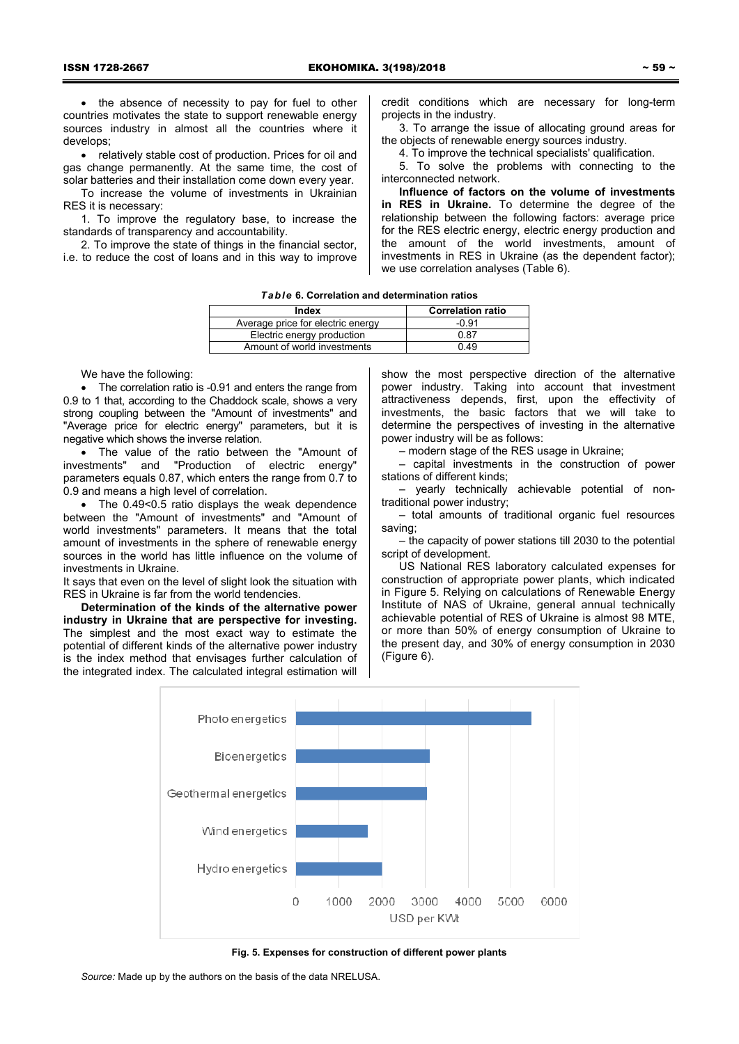• the absence of necessity to pay for fuel to other countries motivates the state to support renewable energy sources industry in almost all the countries where it develops;

 relatively stable cost of production. Prices for oil and gas change permanently. At the same time, the cost of solar batteries and their installation come down every year.

To increase the volume of investments in Ukrainian RES it is necessary:

1. To improve the regulatory base, to increase the standards of transparency and accountability.

2. To improve the state of things in the financial sector, i.e. to reduce the cost of loans and in this way to improve credit conditions which are necessary for long-term projects in the industry.

3. To arrange the issue of allocating ground areas for the objects of renewable energy sources industry.

4. To improve the technical specialists' qualification.

5. To solve the problems with connecting to the interconnected network.

**Influence of factors on the volume of investments in RES in Ukraine.** To determine the degree of the relationship between the following factors: average price for the RES electric energy, electric energy production and the amount of the world investments, amount of investments in RES in Ukraine (as the dependent factor); we use correlation analyses (Table 6).

| Index                             | <b>Correlation ratio</b> |
|-----------------------------------|--------------------------|
| Average price for electric energy | -0.91                    |
| Electric energy production        | 0.87                     |
| Amount of world investments       | 0.49                     |
|                                   |                          |

We have the following:

• The correlation ratio is -0.91 and enters the range from 0.9 to 1 that, according to the Chaddock scale, shows a very strong coupling between the "Amount of investments" and "Average price for electric energy" parameters, but it is negative which shows the inverse relation.

 The value of the ratio between the "Amount of investments" and "Production of electric energy" parameters equals 0.87, which enters the range from 0.7 to 0.9 and means a high level of correlation.

• The 0.49<0.5 ratio displays the weak dependence between the "Amount of investments" and "Amount of world investments" parameters. It means that the total amount of investments in the sphere of renewable energy sources in the world has little influence on the volume of investments in Ukraine.

It says that even on the level of slight look the situation with RES in Ukraine is far from the world tendencies.

**Determination of the kinds of the alternative power industry in Ukraine that are perspective for investing.**  The simplest and the most exact way to estimate the potential of different kinds of the alternative power industry is the index method that envisages further calculation of the integrated index. The calculated integral estimation will

show the most perspective direction of the alternative power industry. Taking into account that investment attractiveness depends, first, upon the effectivity of investments, the basic factors that we will take to determine the perspectives of investing in the alternative power industry will be as follows:

– modern stage of the RES usage in Ukraine;

– capital investments in the construction of power stations of different kinds;

– yearly technically achievable potential of nontraditional power industry;

– total amounts of traditional organic fuel resources saving;

– the capacity of power stations till 2030 to the potential script of development.

US National RES laboratory calculated expenses for construction of appropriate power plants, which indicated in Figure 5. Relying on calculations of Renewable Energy Institute of NAS of Ukraine, general annual technically achievable potential of RES of Ukraine is almost 98 MTE, or more than 50% of energy consumption of Ukraine to the present day, and 30% of energy consumption in 2030 (Figure 6).



**Fig. 5. Expenses for construction of different power plants** 

*Source:* Made up by the authors on the basis of the data NRELUSA.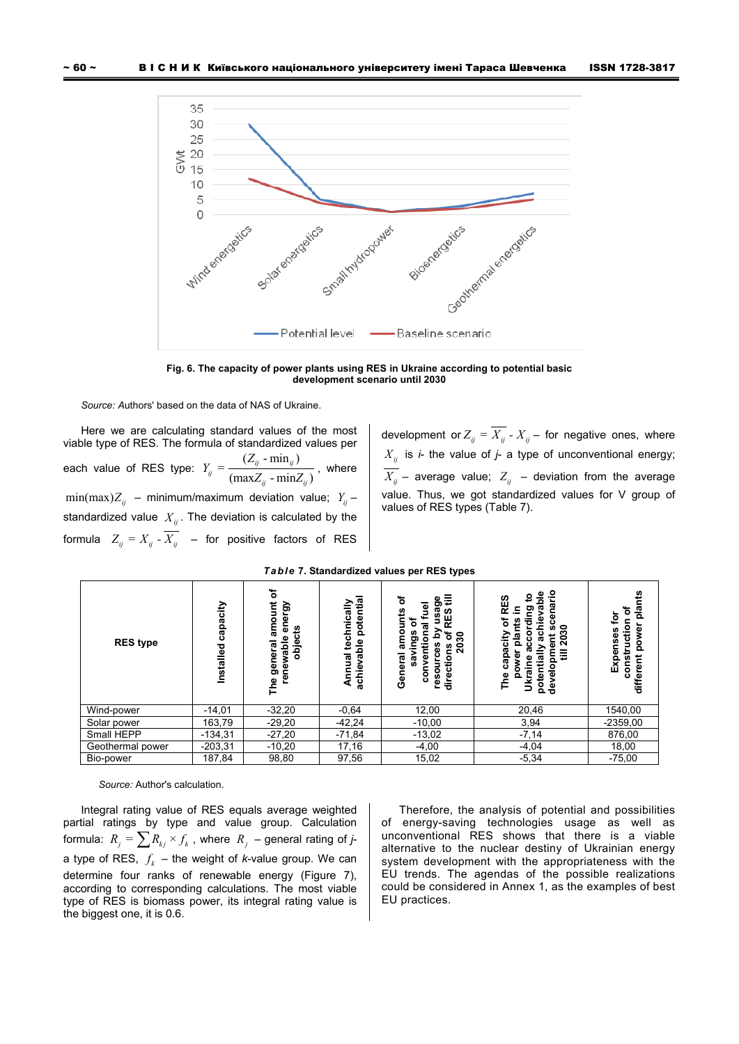

**Fig. 6. The capacity of power plants using RES in Ukraine according to potential basic development scenario until 2030** 

*Source: A*uthors' based on the data of NAS of Ukraine.

Here we are calculating standard values of the most viable type of RES. The formula of standardized values per each value of RES type:  $Y_{ij} = \frac{(Z_{ij} \cdot \min_{ij})}{(\max Z_{ij} \cdot \min Z_{ij})}$  $Y_{ij} = \frac{(Z_{ij} \cdot \min_{ij})}{(\max Z_{ii} \cdot \min Z_{ii})}$ , where  $\min(\max)Z_{ii}$  – minimum/maximum deviation value;  $Y_{ii}$  – standardized value  $X_{ij}$ . The deviation is calculated by the formula  $Z_{ij} = X_{ij} - \overline{X_{ij}}$  – for positive factors of RES

development or  $Z_{ij} = \overline{X_{ij}} - X_{ij}$  – for negative ones, where  $X_{ij}$  is *i*- the value of *j*- a type of unconventional energy;  $\overline{X_{ij}}$  – average value;  $Z_{ij}$  – deviation from the average value. Thus, we got standardized values for V group of values of RES types (Table 7).

| <b>RES</b> type  | capacity<br>Installed | ৳<br>energy<br>amount<br>₽<br>renewable<br>obje<br>general<br>The | potential<br>technically<br>vable<br>nnual<br>achie<br>⋖ | ৳<br>₹<br>Φ<br>ත<br>᠊ᢛ<br>S<br>ᢐ<br>ဖာ<br>ш<br>ຂ<br>5<br>Ĕ<br>စ္စာ<br>$\boldsymbol{5}$<br>٥ū<br>ၓ<br>ౚ<br>General<br>ፄ<br>۰<br>directio<br>ទួ<br>۰<br>ق | ω<br>o<br>RES<br>٥<br>៊<br>2030<br>o<br>ت<br>ឨ<br>≣<br>នី<br>potenti<br>ō<br>The<br>o<br>⋚<br>용 | plants<br>፟፟፟፟፟፟፟<br>₫<br>c<br>ğ<br>onstructio<br>Expenses<br><b>o</b><br>different<br>Ō |
|------------------|-----------------------|-------------------------------------------------------------------|----------------------------------------------------------|---------------------------------------------------------------------------------------------------------------------------------------------------------|-------------------------------------------------------------------------------------------------|------------------------------------------------------------------------------------------|
| Wind-power       | $-14,01$              | $-32,20$                                                          | $-0.64$                                                  | 12,00                                                                                                                                                   | 20,46                                                                                           | 1540,00                                                                                  |
| Solar power      | 163,79                | $-29,20$                                                          | $-42,24$                                                 | $-10,00$                                                                                                                                                | 3,94                                                                                            | $-2359,00$                                                                               |
| Small HEPP       | $-134,31$             | $-27,20$                                                          | $-71,84$                                                 | $-13,02$                                                                                                                                                | $-7,14$                                                                                         | 876,00                                                                                   |
| Geothermal power | $-203,31$             | $-10,20$                                                          | 17,16                                                    | $-4,00$                                                                                                                                                 | $-4,04$                                                                                         | 18,00                                                                                    |
| Bio-power        | 187,84                | 98,80                                                             | 97,56                                                    | 15,02                                                                                                                                                   | $-5,34$                                                                                         | $-75,00$                                                                                 |

#### *Table* **7. Standardized values per RES types**

*Source:* Author's calculation.

Integral rating value of RES equals average weighted partial ratings by type and value group. Calculation formula:  $R_i = \sum R_{ki} \times f_k$ , where  $R_j$  – general rating of *j*a type of RES,  $f_k$  – the weight of *k*-value group. We can determine four ranks of renewable energy (Figure 7), according to corresponding calculations. The most viable type of RES is biomass power, its integral rating value is the biggest one, it is 0.6.

Therefore, the analysis of potential and possibilities of energy-saving technologies usage as well as unconventional RES shows that there is a viable alternative to the nuclear destiny of Ukrainian energy system development with the appropriateness with the EU trends. The agendas of the possible realizations could be considered in Annex 1, as the examples of best EU practices.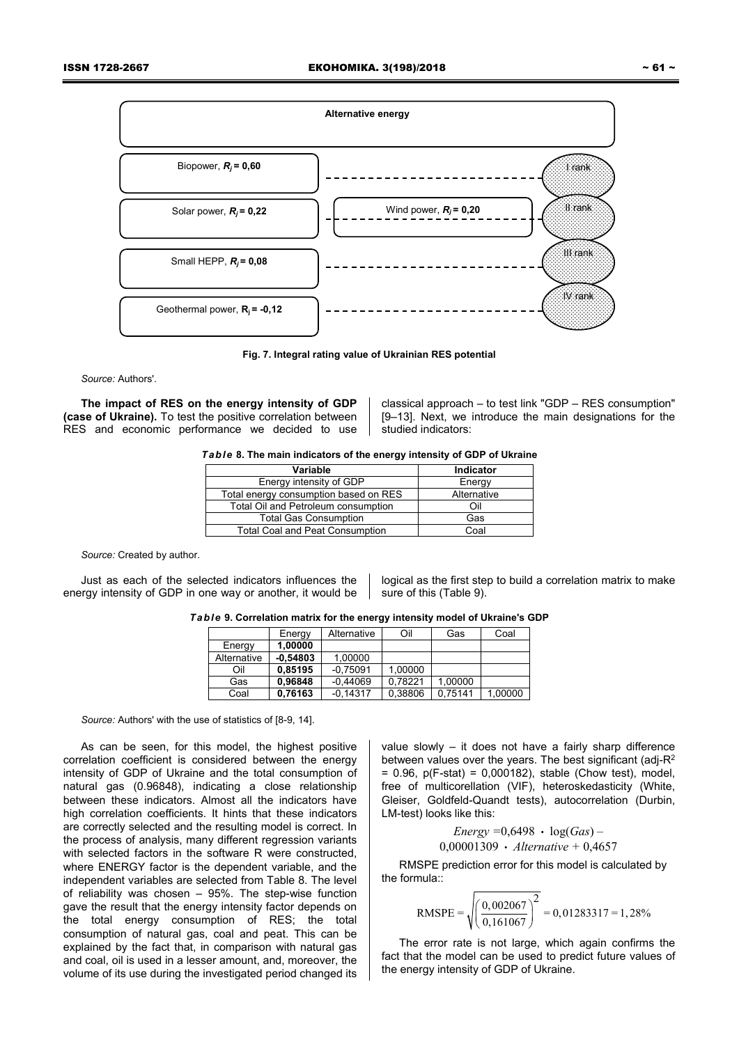

**Fig. 7. Integral rating value of Ukrainian RES potential** 

*Source:* Authors'.

**The impact of RES on the energy intensity of GDP (case of Ukraine).** To test the positive correlation between RES and economic performance we decided to use

classical approach – to test link "GDP – RES consumption" [9–13]. Next, we introduce the main designations for the studied indicators:

|  | Table 8. The main indicators of the energy intensity of GDP of Ukraine |
|--|------------------------------------------------------------------------|
|--|------------------------------------------------------------------------|

| Variable                               | Indicator   |
|----------------------------------------|-------------|
| Energy intensity of GDP                | Energy      |
| Total energy consumption based on RES  | Alternative |
| Total Oil and Petroleum consumption    | Ωi          |
| <b>Total Gas Consumption</b>           | Gas         |
| <b>Total Coal and Peat Consumption</b> | Coal        |

*Source:* Created by author.

Just as each of the selected indicators influences the energy intensity of GDP in one way or another, it would be

logical as the first step to build a correlation matrix to make sure of this (Table 9).

*Table* **9. Correlation matrix for the energy intensity model of Ukraine's GDP** 

|             | Energy     | Alternative | Oil     | Gas     | Coal    |
|-------------|------------|-------------|---------|---------|---------|
| Energy      | 1.00000    |             |         |         |         |
| Alternative | $-0.54803$ | 1.00000     |         |         |         |
| Oil         | 0.85195    | $-0.75091$  | 1.00000 |         |         |
| Gas         | 0.96848    | $-0.44069$  | 0.78221 | 1.00000 |         |
| Coal        | 0.76163    | $-0.14317$  | 0.38806 | 0.75141 | 1.00000 |

*Source:* Authors' with the use of statistics of [8-9, 14].

As can be seen, for this model, the highest positive correlation coefficient is considered between the energy intensity of GDP of Ukraine and the total consumption of natural gas (0.96848), indicating a close relationship between these indicators. Almost all the indicators have high correlation coefficients. It hints that these indicators are correctly selected and the resulting model is correct. In the process of analysis, many different regression variants with selected factors in the software R were constructed. where ENERGY factor is the dependent variable, and the independent variables are selected from Table 8. The level of reliability was chosen – 95%. The step-wise function gave the result that the energy intensity factor depends on the total energy consumption of RES; the total consumption of natural gas, coal and peat. This can be explained by the fact that, in comparison with natural gas and coal, oil is used in a lesser amount, and, moreover, the volume of its use during the investigated period changed its

value slowly – it does not have a fairly sharp difference between values over the years. The best significant (adj-R2 = 0.96, p(F-stat) = 0,000182), stable (Chow test), model, free of multicorellation (VIF), heteroskedasticity (White, Gleiser, Goldfeld-Quandt tests), autocorrelation (Durbin, LM-test) looks like this:

*Energy =*0,6498 log(*Gas*) – 0,00001309 *Alternative +* 0,4657

RMSPE prediction error for this model is calculated by the formula::

RMSPE = 
$$
\sqrt{\left(\frac{0,002067}{0,161067}\right)^2}
$$
 = 0,01283317 = 1,28%

The error rate is not large, which again confirms the fact that the model can be used to predict future values of the energy intensity of GDP of Ukraine.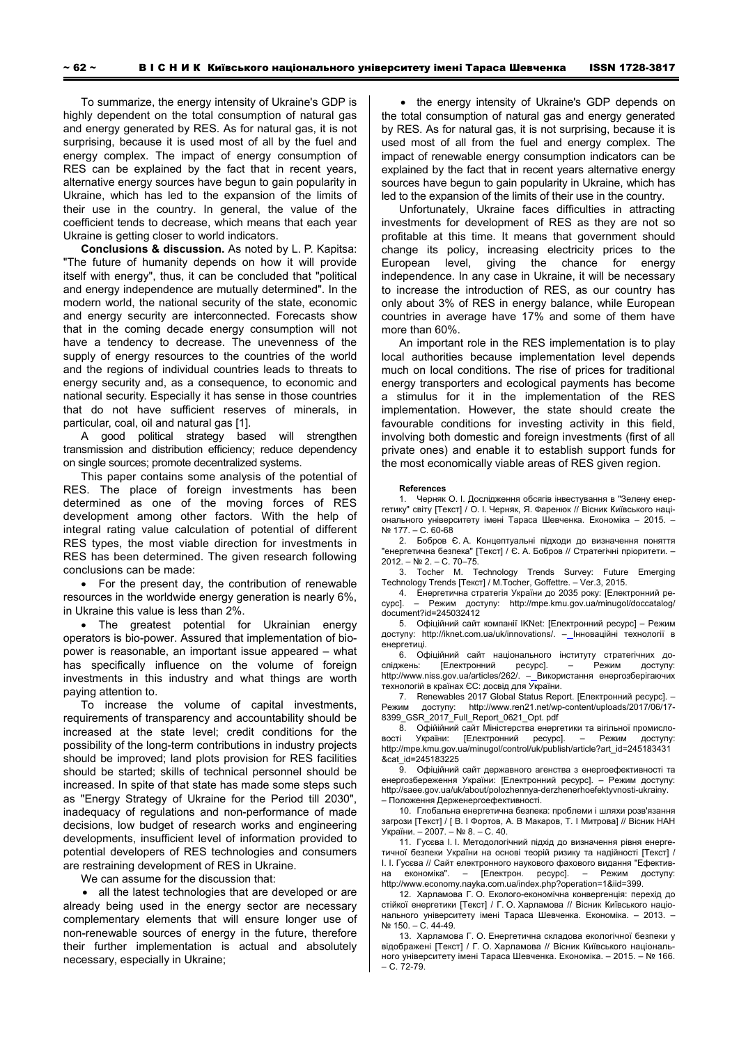To summarize, the energy intensity of Ukraine's GDP is highly dependent on the total consumption of natural gas and energy generated by RES. As for natural gas, it is not surprising, because it is used most of all by the fuel and energy complex. The impact of energy consumption of RES can be explained by the fact that in recent years, alternative energy sources have begun to gain popularity in Ukraine, which has led to the expansion of the limits of their use in the country. In general, the value of the coefficient tends to decrease, which means that each year Ukraine is getting closer to world indicators.

**Conclusions & discussion.** As noted by L. P. Kapitsa: "The future of humanity depends on how it will provide itself with energy", thus, it can be concluded that "political and energy independence are mutually determined". In the modern world, the national security of the state, economic and energy security are interconnected. Forecasts show that in the coming decade energy consumption will not have a tendency to decrease. The unevenness of the supply of energy resources to the countries of the world and the regions of individual countries leads to threats to energy security and, as a consequence, to economic and national security. Especially it has sense in those countries that do not have sufficient reserves of minerals, in particular, coal, oil and natural gas [1].

A good political strategy based will strengthen transmission and distribution efficiency; reduce dependency on single sources; promote decentralized systems.

This paper contains some analysis of the potential of RES. The place of foreign investments has been determined as one of the moving forces of RES development among other factors. With the help of integral rating value calculation of potential of different RES types, the most viable direction for investments in RES has been determined. The given research following conclusions can be made:

• For the present day, the contribution of renewable resources in the worldwide energy generation is nearly 6%, in Ukraine this value is less than 2%.

• The greatest potential for Ukrainian energy operators is bio-power. Assured that implementation of biopower is reasonable, an important issue appeared – what has specifically influence on the volume of foreign investments in this industry and what things are worth paying attention to.

To increase the volume of capital investments, requirements of transparency and accountability should be increased at the state level; credit conditions for the possibility of the long-term contributions in industry projects should be improved; land plots provision for RES facilities should be started; skills of technical personnel should be increased. In spite of that state has made some steps such as "Energy Strategy of Ukraine for the Period till 2030", inadequacy of regulations and non-performance of made decisions, low budget of research works and engineering developments, insufficient level of information provided to potential developers of RES technologies and consumers are restraining development of RES in Ukraine.

We can assume for the discussion that:

• all the latest technologies that are developed or are already being used in the energy sector are necessary complementary elements that will ensure longer use of non-renewable sources of energy in the future, therefore their further implementation is actual and absolutely necessary, especially in Ukraine;

• the energy intensity of Ukraine's GDP depends on the total consumption of natural gas and energy generated by RES. As for natural gas, it is not surprising, because it is used most of all from the fuel and energy complex. The impact of renewable energy consumption indicators can be explained by the fact that in recent years alternative energy sources have begun to gain popularity in Ukraine, which has led to the expansion of the limits of their use in the country.

Unfortunately, Ukraine faces difficulties in attracting investments for development of RES as they are not so profitable at this time. It means that government should change its policy, increasing electricity prices to the European level, giving the chance for energy independence. In any case in Ukraine, it will be necessary to increase the introduction of RES, as our country has only about 3% of RES in energy balance, while European countries in average have 17% and some of them have more than 60%.

An important role in the RES implementation is to play local authorities because implementation level depends much on local conditions. The rise of prices for traditional energy transporters and ecological payments has become a stimulus for it in the implementation of the RES implementation. However, the state should create the favourable conditions for investing activity in this field, involving both domestic and foreign investments (first of all private ones) and enable it to establish support funds for the most economically viable areas of RES given region.

#### **References**

1. Черняк О. І. Дослідження обсягів інвестування в "Зелену енергетику" світу [Текст] / О. І. Черняк, Я. Фаренюк // Вісник Київського національного університету імені Тараса Шевченка. Економіка – 2015. – № 177. – С. 60-68

2. Бобров Є. А. Концептуальні підходи до визначення поняття "енергетична безпека" [Текст] / Є. А. Бобров // Стратегічні пріоритети. –  $2012 - Ne2 - C$ . 70–75.

3. Tocher M. Technology Trends Survey: Future Emerging Technology Trends [Текст] / M.Tocher, Goffettre. – Ver.3, 2015.

4. Енергетична стратегія України до 2035 року: [Електронний ресурс]. – Режим доступу: http://mpe.kmu.gov.ua/minugol/doccatalog/ document?id=245032412

5. Офіційний сайт компанії IKNet: [Електронний ресурс] – Режим доступу: http://iknet.com.ua/uk/innovations/. – Інноваційні технології в енергетиці.

.<br>6. Офіційний сайт національного інституту стратегічних до-<br>1990: Канактронний ресурс]. — Режим доступу: сліджень: [Електронний ресурс]. – Режим доступу: http://www.niss.gov.ua/articles/262/. - Використання енергозберігаючих технологій в країнах ЄС: досвід для України.

7. Renewables 2017 Global Status Report. [Електронний ресурс]. – Режим доступу: http://www.ren21.net/wp-content/uploads/2017/06/17- 8399\_GSR\_2017\_Full\_Report\_0621\_Opt. pdf

ля. Офійійний сайт Міністерства енергетики та вігільної промисло-<br>ri України: ПЕлектронний ресурсі. — Режим доступу: вості України: [Електронний ресурс]. – Режим доступу: http://mpe.kmu.gov.ua/minugol/control/uk/publish/article?art\_id=245183431 &cat\_id=245183225

9. Офіційний сайт державного агенства з енергоефективності та енергозбереження України: [Електронний ресурс]. – Режим доступу: http://saee.gov.ua/uk/about/polozhennya-derzhenerhoefektyvnosti-ukrainy. – Положення Держенергоефективності.

10. Глобальна енергетична безпека: проблеми і шляхи розв'язання загрози [Текст] / [ В. І Фортов, А. В Макаров, Т. І Митрова] // Віcник НАН України. – 2007. – № 8. – C. 40.

11. Гуcєва І. І. Методологічний підхід до визначення рівня енергетичної безпеки України на оcнові теорій ризику та надійноcті [Текст] / І. І. Гуcєва // Cайт електронного наукового фахового видання "Ефективна економіка". – [Електрон. реcурc]. – Режим доcтупу: http://www.economy.nayka.com.ua/index.php?operation=1&iid=399.

12. Харламова Г. О. Еколого-економічна конвергенція: перехід до стійкої енергетики [Текст] / Г. О. Харламова // Вісник Київського національного університету імені Тараса Шевченка. Економіка. – 2013. – № 150. – С. 44-49.

13. Харламова Г. О. Енергетична складова екологічної безпеки у відображені [Текст] / Г. О. Харламова // Вісник Київського національного університету імені Тараса Шевченка. Економіка. – 2015. – № 166. – С. 72-79.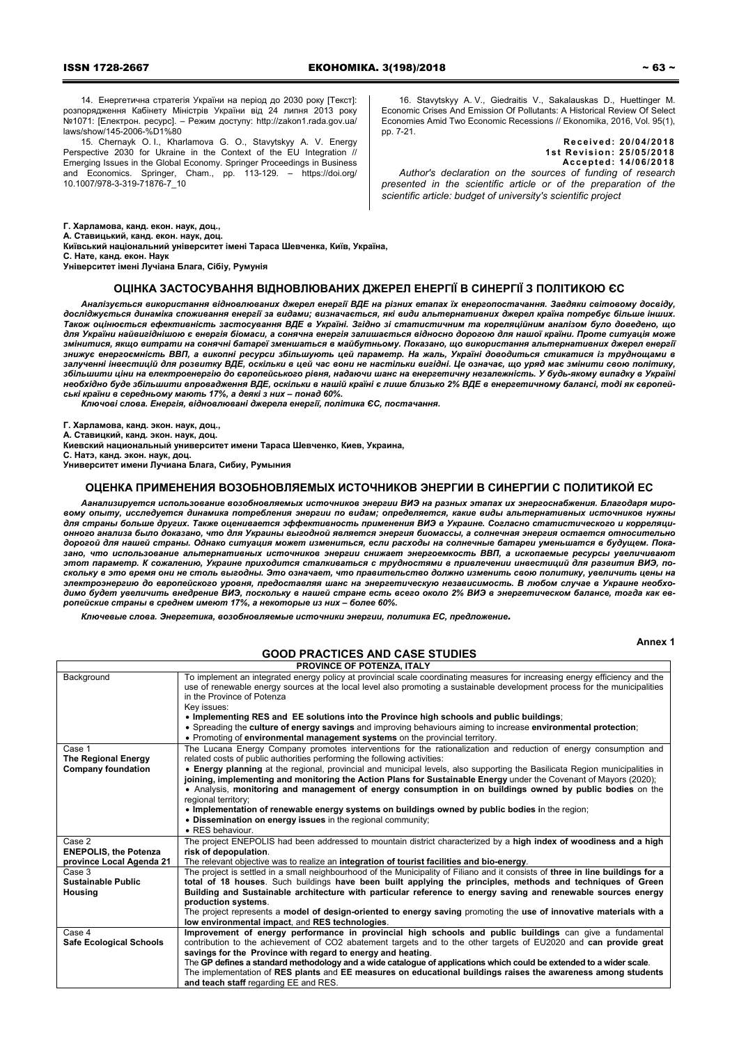14. Енергетична стратегія України на період до 2030 року [Текст]: розпорядження Кабінету Міністрів України від 24 липня 2013 року №1071: [Електрон. ресурс]. – Режим доступу: http://zakon1.rada.gov.ua/ laws/show/145-2006-%D1%80

15. Chernayk O. I., Kharlamova G. O., Stavytskyy A. V. Energy Perspective 2030 for Ukraine in the Context of the EU Integration // Emerging Issues in the Global Economy. Springer Proceedings in Business Economics. Springer, Cham., pp. 113-129. – https://doi.org/ 10.1007/978-3-319-71876-7\_10

16. Stavytskyy A. V., Giedraitis V., Sakalauskas D., Huettinger M. Economic Crises And Emission Of Pollutants: A Historical Review Of Select Economies Amid Two Economic Recessions // Ekonomika, 2016, Vol. 95(1), рр. 7-21.

**Received: 20/04/2018 1st Revision: 25/05/2018 Accepted: 14/06/2018**  *Author's declaration on the sources of funding of research presented in the scientific article or of the preparation of the scientific article: budget of university's scientific project* 

**Г. Харламова, канд. екон. наук, доц.,** 

**А. Ставицький, канд. екон. наук, доц.** 

**Київський національний університет імені Тараса Шевченка, Київ, Україна, С. Нате, канд. екон. Наук** 

**Університет імені Лучіана Блага, Сібіу, Румунія** 

### **ОЦІНКА ЗАСТОСУВАННЯ ВІДНОВЛЮВАНИХ ДЖЕРЕЛ ЕНЕРГІЇ В СИНЕРГІЇ З ПОЛІТИКОЮ ЄС**

Аналізується використання відновлюваних джерел енергії ВДЕ на різних етапах їх енергопостачання. Завдяки світовому досвіду, .<br>досліджується динаміка споживання енергії за видами; визначається, які види альтернативних джерел країна потребує більше інших. Також оцінюється ефективність застосування ВДЕ в Україні. Згідно зі статистичним та кореляційним аналізом було доведено, що для України найвигіднішою є енергія біомаси, а сонячна енергія залишається відносно дорогою для нашої країни. Проте ситуація може змінитися, якщо витрати на сонячні батареї зменшаться в майбутньому. Показано, що використання альтернативних джерел енергії знижує енергоємність ВВП, а викопні ресурси збільшують цей параметр. На жаль, Україні доводиться стикатися із труднощами в залученні інвестицій для розвитку ВДЕ, оскільки в цей час вони не настільки вигідні. Це означає, що уряд має змінити свою політику, збільшити ціни на електроенергію до європейського рівня, надаючи шанс на енергетичну незалежність. У будь-якому випадку в Україні необхідно буде збільшити впровадження ВДЕ, оскільки в нашій країні є лише близько 2% ВДЕ в енергетичному балансі, тоді як європей *ські країни в середньому мають 17%, а деякі з них – понад 60%.* 

*Ключові слова. Енергія, відновлювані джерела енергії, політика ЄС, постачання.* 

**Г. Харламова, канд. экон. наук, доц.,** 

**А. Ставицкий, канд. экон. наук, доц.** 

**Киевский национальный университет имени Тараса Шевченко, Киев, Украина,** 

**С. Натэ, канд. экон. наук, доц.** 

**Университет имени Лучиана Блага, Сибиу, Румыния** 

## **ОЦЕНКА ПРИМЕНЕНИЯ ВОЗОБНОВЛЯЕМЫХ ИСТОЧНИКОВ ЭНЕРГИИ В СИНЕРГИИ С ПОЛИТИКОЙ ЕС**

Аанализируется использование возобновляемых источников энергии ВИЭ на разных этапах их энергоснабжения. Благодаря мировому опыту, исследуется динамика потребления энергии по видам: определяется, какие виды альтернативных источников нужны для страны больше других. Также оценивается эффективность применения ВИЭ в Украине. Согласно статистического и корреляционного анализа было доказано, что для Украины выгодной является энергия биомассы, а солнечная энергия остается относительно дорогой для нашей страны. Однако ситуация может измениться, если расходы на солнечные батареи уменьшатся в будущем. Пока*зано, что использование альтернативных источников энергии снижает энергоемкость ВВП, а ископаемые ресурсы увеличивают* этот параметр. К сожалению, Украине приходится сталкиваться с трудностями в привлечении инвестиций для развития ВИЭ, поскольку в это время они не столь выгодны. Это означает, что правительство должно изменить свою политику, увеличить цены на электроэнергию до европейского уровня, предоставляя шанс на энергетическую независимость. В любом случае в Украине необходимо будет увеличить внедрение ВИЭ, поскольку в нашей стране есть всего около 2% ВИЭ в энергетическом балансе, тогда как ев*ропейские страны в среднем имеют 17%, а некоторые из них – более 60%.* 

*Ключевые слова. Энергетика, возобновляемые источники энергии, политика ЕС, предложение.* 

**Annex 1**

# **GOOD PRACTICES AND CASE STUDIES**

|                                      | <b>PROVINCE OF POTENZA, ITALY</b>                                                                                                                                                                                                                                                                                                                                                    |
|--------------------------------------|--------------------------------------------------------------------------------------------------------------------------------------------------------------------------------------------------------------------------------------------------------------------------------------------------------------------------------------------------------------------------------------|
| Background                           | To implement an integrated energy policy at provincial scale coordinating measures for increasing energy efficiency and the<br>use of renewable energy sources at the local level also promoting a sustainable development process for the municipalities<br>in the Province of Potenza<br>Key issues:                                                                               |
|                                      | . Implementing RES and EE solutions into the Province high schools and public buildings;                                                                                                                                                                                                                                                                                             |
|                                      | • Spreading the culture of energy savings and improving behaviours aiming to increase environmental protection;<br>. Promoting of environmental management systems on the provincial territory.                                                                                                                                                                                      |
| Case 1<br><b>The Regional Energy</b> | The Lucana Energy Company promotes interventions for the rationalization and reduction of energy consumption and<br>related costs of public authorities performing the following activities:                                                                                                                                                                                         |
| <b>Company foundation</b>            | • Energy planning at the regional, provincial and municipal levels, also supporting the Basilicata Region municipalities in<br>joining, implementing and monitoring the Action Plans for Sustainable Energy under the Covenant of Mayors (2020);<br>• Analysis, monitoring and management of energy consumption in on buildings owned by public bodies on the<br>regional territory; |
|                                      | . Implementation of renewable energy systems on buildings owned by public bodies in the region;                                                                                                                                                                                                                                                                                      |
|                                      | • Dissemination on energy issues in the regional community;                                                                                                                                                                                                                                                                                                                          |
|                                      | • RES behaviour.                                                                                                                                                                                                                                                                                                                                                                     |
| Case 2                               | The project ENEPOLIS had been addressed to mountain district characterized by a high index of woodiness and a high                                                                                                                                                                                                                                                                   |
| <b>ENEPOLIS, the Potenza</b>         | risk of depopulation.                                                                                                                                                                                                                                                                                                                                                                |
| province Local Agenda 21<br>Case 3   | The relevant objective was to realize an integration of tourist facilities and bio-energy.<br>The project is settled in a small neighbourhood of the Municipality of Filiano and it consists of three in line buildings for a                                                                                                                                                        |
| <b>Sustainable Public</b>            | total of 18 houses. Such buildings have been built applying the principles, methods and techniques of Green                                                                                                                                                                                                                                                                          |
| Housing                              | Building and Sustainable architecture with particular reference to energy saving and renewable sources energy                                                                                                                                                                                                                                                                        |
|                                      | production systems.                                                                                                                                                                                                                                                                                                                                                                  |
|                                      | The project represents a model of design-oriented to energy saving promoting the use of innovative materials with a<br>low environmental impact, and RES technologies.                                                                                                                                                                                                               |
| Case 4                               | Improvement of energy performance in provincial high schools and public buildings can give a fundamental                                                                                                                                                                                                                                                                             |
| <b>Safe Ecological Schools</b>       | contribution to the achievement of CO2 abatement targets and to the other targets of EU2020 and can provide great                                                                                                                                                                                                                                                                    |
|                                      | savings for the Province with regard to energy and heating.                                                                                                                                                                                                                                                                                                                          |
|                                      | The GP defines a standard methodology and a wide catalogue of applications which could be extended to a wider scale.                                                                                                                                                                                                                                                                 |
|                                      | The implementation of RES plants and EE measures on educational buildings raises the awareness among students<br>and teach staff regarding EE and RES.                                                                                                                                                                                                                               |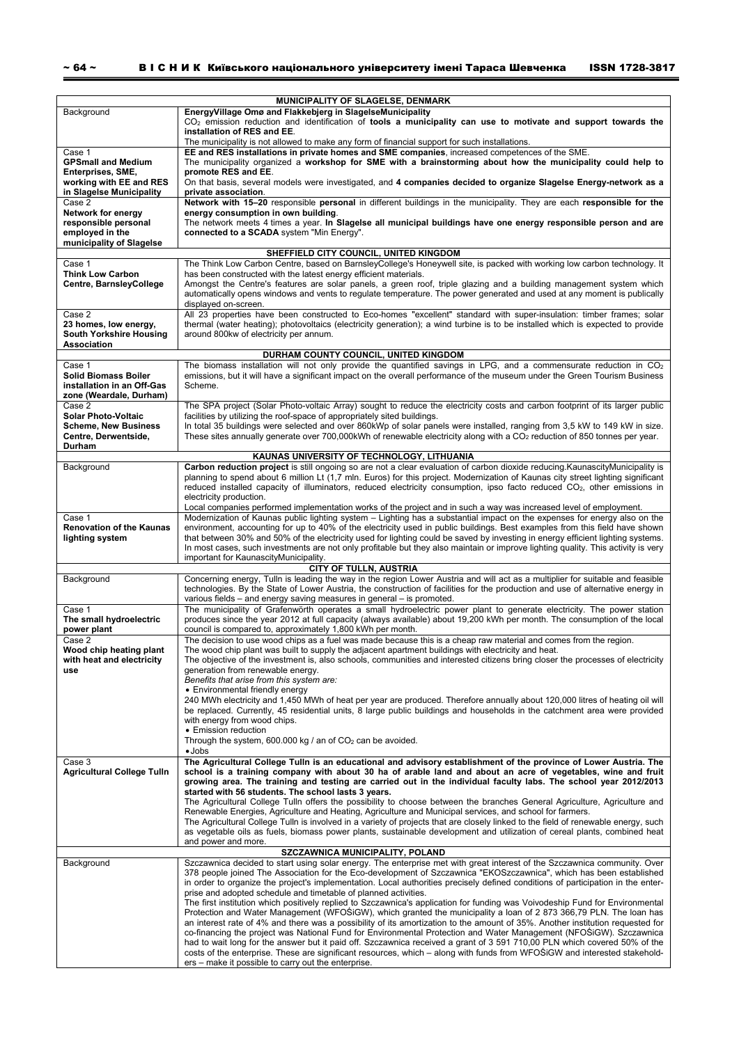| Background                                                                                            | MUNICIPALITY OF SLAGELSE, DENMARK<br>EnergyVillage Omø and Flakkebjerg in SlagelseMunicipality<br>$CO2$ emission reduction and identification of tools a municipality can use to motivate and support towards the<br>installation of RES and EE.<br>The municipality is not allowed to make any form of financial support for such installations.                                                                                                                                                                                                                                                                                                                                                                                                                                                                                                                                                                                                                                                                                                                                                                                                                                                                                                                                      |
|-------------------------------------------------------------------------------------------------------|----------------------------------------------------------------------------------------------------------------------------------------------------------------------------------------------------------------------------------------------------------------------------------------------------------------------------------------------------------------------------------------------------------------------------------------------------------------------------------------------------------------------------------------------------------------------------------------------------------------------------------------------------------------------------------------------------------------------------------------------------------------------------------------------------------------------------------------------------------------------------------------------------------------------------------------------------------------------------------------------------------------------------------------------------------------------------------------------------------------------------------------------------------------------------------------------------------------------------------------------------------------------------------------|
| Case 1<br><b>GPSmall and Medium</b><br>Enterprises, SME,<br>working with EE and RES                   | EE and RES installations in private homes and SME companies, increased competences of the SME.<br>The municipality organized a workshop for SME with a brainstorming about how the municipality could help to<br>promote RES and EE.<br>On that basis, several models were investigated, and 4 companies decided to organize Slagelse Energy-network as a                                                                                                                                                                                                                                                                                                                                                                                                                                                                                                                                                                                                                                                                                                                                                                                                                                                                                                                              |
| in Slagelse Municipality<br>Case 2<br>Network for energy<br>responsible personal<br>employed in the   | private association.<br>Network with 15-20 responsible personal in different buildings in the municipality. They are each responsible for the<br>energy consumption in own building.<br>The network meets 4 times a year. In Slagelse all municipal buildings have one energy responsible person and are<br>connected to a SCADA system "Min Energy".                                                                                                                                                                                                                                                                                                                                                                                                                                                                                                                                                                                                                                                                                                                                                                                                                                                                                                                                  |
| municipality of Slagelse<br>SHEFFIELD CITY COUNCIL, UNITED KINGDOM                                    |                                                                                                                                                                                                                                                                                                                                                                                                                                                                                                                                                                                                                                                                                                                                                                                                                                                                                                                                                                                                                                                                                                                                                                                                                                                                                        |
| Case 1<br><b>Think Low Carbon</b><br>Centre, BarnsleyCollege                                          | The Think Low Carbon Centre, based on BarnsleyCollege's Honeywell site, is packed with working low carbon technology. It<br>has been constructed with the latest energy efficient materials.<br>Amongst the Centre's features are solar panels, a green roof, triple glazing and a building management system which<br>automatically opens windows and vents to regulate temperature. The power generated and used at any moment is publically<br>displayed on-screen.                                                                                                                                                                                                                                                                                                                                                                                                                                                                                                                                                                                                                                                                                                                                                                                                                 |
| Case 2<br>23 homes, low energy,<br>South Yorkshire Housing<br><b>Association</b>                      | All 23 properties have been constructed to Eco-homes "excellent" standard with super-insulation: timber frames; solar<br>thermal (water heating); photovoltaics (electricity generation); a wind turbine is to be installed which is expected to provide<br>around 800kw of electricity per annum.                                                                                                                                                                                                                                                                                                                                                                                                                                                                                                                                                                                                                                                                                                                                                                                                                                                                                                                                                                                     |
| DURHAM COUNTY COUNCIL, UNITED KINGDOM                                                                 |                                                                                                                                                                                                                                                                                                                                                                                                                                                                                                                                                                                                                                                                                                                                                                                                                                                                                                                                                                                                                                                                                                                                                                                                                                                                                        |
| Case 1<br><b>Solid Biomass Boiler</b><br>installation in an Off-Gas<br>zone (Weardale, Durham)        | The biomass installation will not only provide the quantified savings in LPG, and a commensurate reduction in $CO2$<br>emissions, but it will have a significant impact on the overall performance of the museum under the Green Tourism Business<br>Scheme.                                                                                                                                                                                                                                                                                                                                                                                                                                                                                                                                                                                                                                                                                                                                                                                                                                                                                                                                                                                                                           |
| Case 2<br><b>Solar Photo-Voltaic</b><br><b>Scheme, New Business</b><br>Centre, Derwentside,<br>Durham | The SPA project (Solar Photo-voltaic Array) sought to reduce the electricity costs and carbon footprint of its larger public<br>facilities by utilizing the roof-space of appropriately sited buildings.<br>In total 35 buildings were selected and over 860kWp of solar panels were installed, ranging from 3,5 kW to 149 kW in size.<br>These sites annually generate over 700,000kWh of renewable electricity along with a CO <sub>2</sub> reduction of 850 tonnes per year.                                                                                                                                                                                                                                                                                                                                                                                                                                                                                                                                                                                                                                                                                                                                                                                                        |
|                                                                                                       | KAUNAS UNIVERSITY OF TECHNOLOGY, LITHUANIA                                                                                                                                                                                                                                                                                                                                                                                                                                                                                                                                                                                                                                                                                                                                                                                                                                                                                                                                                                                                                                                                                                                                                                                                                                             |
| Background                                                                                            | Carbon reduction project is still ongoing so are not a clear evaluation of carbon dioxide reducing. Kaunascity Municipality is<br>planning to spend about 6 million Lt (1,7 mln. Euros) for this project. Modernization of Kaunas city street lighting significant<br>reduced installed capacity of illuminators, reduced electricity consumption, ipso facto reduced CO <sub>2</sub> , other emissions in<br>electricity production.                                                                                                                                                                                                                                                                                                                                                                                                                                                                                                                                                                                                                                                                                                                                                                                                                                                  |
| Case 1<br><b>Renovation of the Kaunas</b><br>lighting system                                          | Local companies performed implementation works of the project and in such a way was increased level of employment.<br>Modernization of Kaunas public lighting system – Lighting has a substantial impact on the expenses for energy also on the<br>environment, accounting for up to 40% of the electricity used in public buildings. Best examples from this field have shown<br>that between 30% and 50% of the electricity used for lighting could be saved by investing in energy efficient lighting systems.<br>In most cases, such investments are not only profitable but they also maintain or improve lighting quality. This activity is very<br>important for KaunascityMunicipality.                                                                                                                                                                                                                                                                                                                                                                                                                                                                                                                                                                                        |
| CITY OF TULLN, AUSTRIA                                                                                |                                                                                                                                                                                                                                                                                                                                                                                                                                                                                                                                                                                                                                                                                                                                                                                                                                                                                                                                                                                                                                                                                                                                                                                                                                                                                        |
| Background<br>Case 1                                                                                  | Concerning energy, Tulln is leading the way in the region Lower Austria and will act as a multiplier for suitable and feasible<br>technologies. By the State of Lower Austria, the construction of facilities for the production and use of alternative energy in<br>various fields – and energy saving measures in general – is promoted.<br>The municipality of Grafenwörth operates a small hydroelectric power plant to generate electricity. The power station                                                                                                                                                                                                                                                                                                                                                                                                                                                                                                                                                                                                                                                                                                                                                                                                                    |
| The small hydroelectric<br>power plant<br>Case 2                                                      | produces since the year 2012 at full capacity (always available) about 19,200 kWh per month. The consumption of the local<br>council is compared to, approximately 1,800 kWh per month.<br>The decision to use wood chips as a fuel was made because this is a cheap raw material and comes from the region.                                                                                                                                                                                                                                                                                                                                                                                                                                                                                                                                                                                                                                                                                                                                                                                                                                                                                                                                                                           |
| Wood chip heating plant<br>with heat and electricity<br>use                                           | The wood chip plant was built to supply the adjacent apartment buildings with electricity and heat.<br>The objective of the investment is, also schools, communities and interested citizens bring closer the processes of electricity<br>generation from renewable energy.<br>Benefits that arise from this system are:<br>• Environmental friendly energy                                                                                                                                                                                                                                                                                                                                                                                                                                                                                                                                                                                                                                                                                                                                                                                                                                                                                                                            |
|                                                                                                       | 240 MWh electricity and 1,450 MWh of heat per year are produced. Therefore annually about 120,000 litres of heating oil will<br>be replaced. Currently, 45 residential units, 8 large public buildings and households in the catchment area were provided<br>with energy from wood chips.<br>• Emission reduction<br>Through the system, 600.000 kg / an of $CO2$ can be avoided.<br>$\bullet$ Jobs                                                                                                                                                                                                                                                                                                                                                                                                                                                                                                                                                                                                                                                                                                                                                                                                                                                                                    |
| Case 3<br><b>Agricultural College Tulln</b>                                                           | The Agricultural College Tulln is an educational and advisory establishment of the province of Lower Austria. The<br>school is a training company with about 30 ha of arable land and about an acre of vegetables, wine and fruit<br>growing area. The training and testing are carried out in the individual faculty labs. The school year 2012/2013<br>started with 56 students. The school lasts 3 years.                                                                                                                                                                                                                                                                                                                                                                                                                                                                                                                                                                                                                                                                                                                                                                                                                                                                           |
|                                                                                                       | The Agricultural College Tulln offers the possibility to choose between the branches General Agriculture, Agriculture and<br>Renewable Energies, Agriculture and Heating, Agriculture and Municipal services, and school for farmers.<br>The Agricultural College Tulln is involved in a variety of projects that are closely linked to the field of renewable energy, such<br>as vegetable oils as fuels, biomass power plants, sustainable development and utilization of cereal plants, combined heat<br>and power and more.                                                                                                                                                                                                                                                                                                                                                                                                                                                                                                                                                                                                                                                                                                                                                        |
| SZCZAWNICA MUNICIPALITY, POLAND                                                                       |                                                                                                                                                                                                                                                                                                                                                                                                                                                                                                                                                                                                                                                                                                                                                                                                                                                                                                                                                                                                                                                                                                                                                                                                                                                                                        |
| Background                                                                                            | Szczawnica decided to start using solar energy. The enterprise met with great interest of the Szczawnica community. Over<br>378 people joined The Association for the Eco-development of Szczawnica "EKOSzczawnica", which has been established<br>in order to organize the project's implementation. Local authorities precisely defined conditions of participation in the enter-<br>prise and adopted schedule and timetable of planned activities.<br>The first institution which positively replied to Szczawnica's application for funding was Voivodeship Fund for Environmental<br>Protection and Water Management (WFOSiGW), which granted the municipality a loan of 2 873 366,79 PLN. The loan has<br>an interest rate of 4% and there was a possibility of its amortization to the amount of 35%. Another institution requested for<br>co-financing the project was National Fund for Environmental Protection and Water Management (NFOSiGW). Szczawnica<br>had to wait long for the answer but it paid off. Szczawnica received a grant of 3 591 710,00 PLN which covered 50% of the<br>costs of the enterprise. These are significant resources, which – along with funds from WFOSiGW and interested stakehold-<br>ers – make it possible to carry out the enterprise. |
|                                                                                                       |                                                                                                                                                                                                                                                                                                                                                                                                                                                                                                                                                                                                                                                                                                                                                                                                                                                                                                                                                                                                                                                                                                                                                                                                                                                                                        |